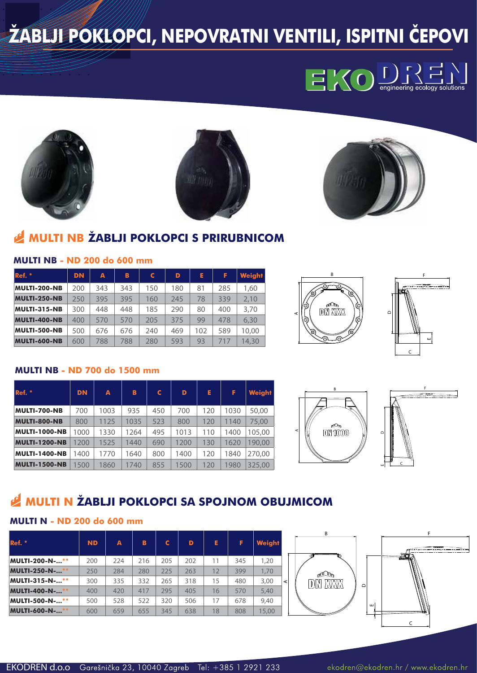# **ŽABLJI POKLOPCI, NEPOVRATNI VENTILI, ISPITNI ČEPOVI**









# **MULTI NB ŽABLJI POKLOPCI S PRIRUBNICOM**

| Ref. *              | <b>DN</b> | A   | B   | C   | D   | Е   | F.  | <b>Weight</b> |
|---------------------|-----------|-----|-----|-----|-----|-----|-----|---------------|
| MULTI-200-NB        | 200       | 343 | 343 | 150 | 180 | 81  | 285 | 1,60          |
| <b>MULTI-250-NB</b> | 250       | 395 | 395 | 160 | 245 | 78  | 339 | 2,10          |
| MULTI-315-NB        | 300       | 448 | 448 | 185 | 290 | 80  | 400 | 3,70          |
| <b>MULTI-400-NB</b> | 400       | 570 | 570 | 205 | 375 | 99  | 478 | 6,30          |
| MULTI-500-NB        | 500       | 676 | 676 | 240 | 469 | 102 | 589 | 10,00         |
| <b>MULTI-600-NB</b> | 600       | 788 | 788 | 280 | 593 | 93  | 717 | 14,30         |

### **MULTI NB - ND 200 do 600 mm**





#### **MULTI NB - ND 700 do 1500 mm**

| Ref.                 | <b>DN</b> | A    | в    | C   | D    | Е   | F    | <b>Weight</b> |
|----------------------|-----------|------|------|-----|------|-----|------|---------------|
| <b>MULTI-700-NB</b>  | 700       | 1003 | 935  | 450 | 700  | 120 | 1030 | 50,00         |
| <b>MULTI-800-NB</b>  | 800       | 1125 | 1035 | 523 | 800  | 120 | 1140 | 75,00         |
| <b>MULTI-1000-NB</b> | 1000      | 1330 | 1264 | 495 | 1013 | 110 | 1400 | 105,00        |
| <b>MULTI-1200-NB</b> | 1200      | 1525 | 1440 | 690 | 1200 | 130 | 1620 | 190.00        |
| <b>MULTI-1400-NB</b> | 1400      | 1770 | 1640 | 800 | 1400 | 120 | 1840 | 270,00        |
| <b>MULTI-1500-NB</b> | 1500      | 1860 | 1740 | 855 | 1500 | 120 | 1980 | 325.00        |





## **MULTI N ŽABLJI POKLOPCI SA SPOJNOM OBUJMICOM**

## **MULTI N - ND 200 do 600 mm**

| Ref.                  | <b>ND</b> | A   | B   | C   | D   | E. | F   | <b>Weight</b> |
|-----------------------|-----------|-----|-----|-----|-----|----|-----|---------------|
| MULTI-200-N-**        | 200       | 224 | 216 | 205 | 202 | 11 | 345 | 1,20          |
| <b>MULTI-250-N-**</b> | 250       | 284 | 280 | 225 | 263 | 12 | 399 | 1,70          |
| MULTI-315-N-**        | 300       | 335 | 332 | 265 | 318 | 15 | 480 | 3,00<br>⋖     |
| <b>MULTI-400-N-**</b> | 400       | 420 | 417 | 295 | 405 | 16 | 570 | 5,40          |
| MULTI-500-N-**        | 500       | 528 | 522 | 320 | 506 | 17 | 678 | 9,40          |
| <b>MULTI-600-N-**</b> | 600       | 659 | 655 | 345 | 638 | 18 | 808 | 15,00         |